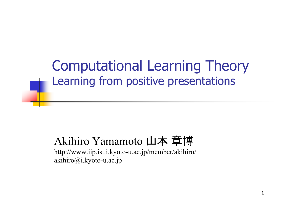Computational Learning Theory Learning from positive presentations

#### Akihiro Yamamoto 山本 章博

http://www.iip.ist.i.kyoto-u.ac.jp/member/akihiro/ akihiro@i.kyoto-u.ac.jp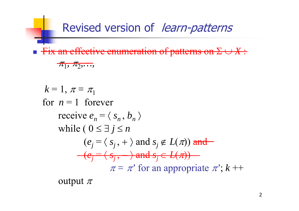Revised version of learn-patterns

 $\overline{\phantom{a}}$ **Fix an effective enumeration of patterns on**  $\Sigma \cup X$ **:** 

$$
\pi_1, \pi_2, \ldots,
$$

$$
k = 1, \pi = \pi_1
$$
  
for  $n = 1$  forever  
receive  $e_n = \langle s_n, b_n \rangle$   
while  $(0 \le \exists j \le n$   
 $(e_j = \langle s_j, + \rangle \text{ and } s_j \notin L(\pi)) \text{ and}$   
 $(e_j = \langle s_j, + \rangle \text{ and } s_j \in L(\pi))$   
 $\pi = \pi'$  for an appropriate  $\pi$ ;  $k +$ 

output  $\pi$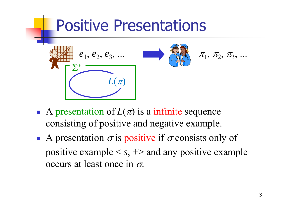#### Positive Presentations  $e_1, e_2, e_3, ...$   $\qquad \qquad$   $\qquad \qquad$   $\qquad \qquad$   $\qquad \qquad$   $\qquad \qquad$   $\qquad$   $\qquad \qquad$   $\qquad$   $\qquad$   $\qquad$   $\qquad$   $\qquad$   $\qquad$   $\qquad$   $\qquad$   $\qquad$   $\qquad$   $\qquad$   $\qquad$   $\qquad$   $\qquad$   $\qquad$   $\qquad$   $\qquad$   $\qquad$   $\qquad$   $\qquad$   $\qquad$   $\qquad$   $\qquad$   $\qquad$   $e_1^{},\,e_2^{},\,e_3^{},\,...$  $\boldsymbol{\Sigma}$ ∗  $L(\pi)$

- A presentation of  $L(\pi)$  is a infinite sequence consisting of positive and negative example.
- A presentation  $\sigma$  is positive if  $\sigma$  consists only of positive example <sup>&</sup>lt; *<sup>s</sup>*, +> and any positive example occurs at least once in  $\sigma$ .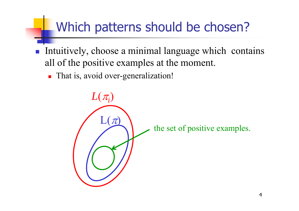#### Which patterns should be chosen?

- p. Intuitively, choose a minimal language which contains all of the positive examples at the moment.
	- **That is, avoid over-generalization!**

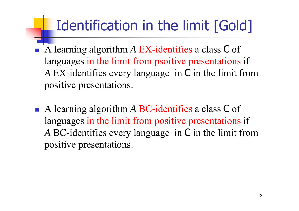## Identification in the limit [Gold]

- Ħ A learning algorithm *<sup>A</sup>* EX-identifies a class C of languages in the limit from psoitive presentations if *A* EX-identifies every language in C in the limit from positive presentations.
- A learning algorithm *<sup>A</sup>* BC-identifies a class C of languages in the limit from positive presentations if *A* BC-identifies every language in C in the limit from positive presentations.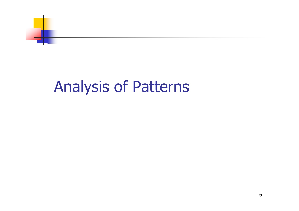

### Analysis of Patterns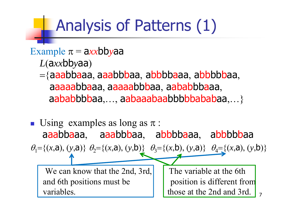# Analysis of Patterns (1)

#### $Example \pi = \frac{ax}{b}$ bbyaa

- $L$ (a*xx*bbyaa)
- ={aaabbaaa, aaabbbaa, abbbbaaa, abbbbbaa, aaaaabbaaa, aaaaabbbaa, aababbbaaa, aababbbbaa,..., aabaaabaabbbbbababaa,...}
- Using examples as long as  $\pi$ : aaabbaaa, aaabbbaa, abbbbaaa, abbbbbaa  $\theta_1 = \{(x, a), (y, a)\}$   $\theta_2 = \{(x, a), (y, b)\}$   $\theta_3 = \{(x, b), (y, a)\}$   $\theta_4 = \{(x, a), (y, b)\}$ We can know that the 2nd, 3rd,  $\vert$  The variable at the 6th and 6th positions must be position is different from variables.  $\parallel$  those at the 2nd and 3rd.  $\parallel$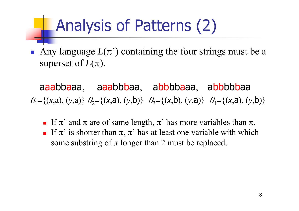# Analysis of Patterns (2)

Any language  $L(\pi)$  containing the four strings must be a superset of  $L(\pi).$ 

aaabbaaa, aaabbbaa, abbbbaaa, abbbbbaa  $\theta_1 = \{(x, a), (y, a)\}\ \theta_2 = \{(x, a), (y, b)\}\ \theta_3 = \{(x, b), (y, a)\}\ \theta_4 = \{(x, a), (y, b)\}$ 

- If  $\pi$ ' and  $\pi$  are of same length,  $\pi$ ' has more variables than  $\pi$ .
- If  $\pi'$  is shorter than  $\pi$ ,  $\pi'$  has at least one variable with which some substring of  $\pi$  longer than 2 must be replaced.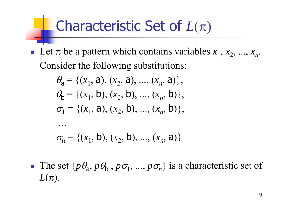#### Characteristic Set of  $L(\pi)$

Exercise Let  $\pi$  be a pattern which contains variables  $x_1, x_2, ..., x_n$ . Consider the following substitutions:

$$
\theta_{\mathsf{a}} = \{ (x_1, \mathsf{a}), (x_2, \mathsf{a}), ..., (x_n, \mathsf{a}) \},
$$
  
\n
$$
\theta_{\mathsf{b}} = \{ (x_1, \mathsf{b}), (x_2, \mathsf{b}), ..., (x_n, \mathsf{b}) \},
$$
  
\n
$$
\sigma_1 = \{ (x_1, \mathsf{a}), (x_2, \mathsf{b}), ..., (x_n, \mathsf{b}) \},
$$

$$
\sigma_n = \{(x_1, b), (x_2, b), ..., (x_n, a)\}
$$

**The set**  $\{p\theta_a, p\theta_b, p\sigma_1, ..., p\sigma_n\}$  is a characteristic set of  $L(\pi).$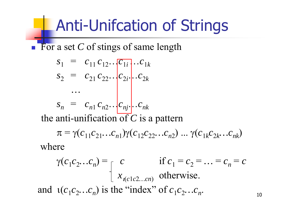# Anti-Unifcation of Strings

**For a set C of stings of same length** 

$$
S_1 = c_{11} c_{12} \cdots c_{1i} c_{1i} \cdots c_{1k}
$$
  
\n
$$
S_2 = c_{21} c_{22} \cdots c_{2i} c_{2i} \cdots c_{2k}
$$
  
\n
$$
\cdots
$$
  
\n
$$
S_n = c_{n1} c_{n2} \cdots c_{nj} c_{nj} \cdots c_{nk}
$$

the anti-unification of *C* is a pattern

$$
\pi = \gamma(c_{11}c_{21}...c_{n1})\gamma(c_{12}c_{22}...c_{n2})...\gamma(c_{1k}c_{2k}...c_{nk})
$$

where

$$
\gamma(c_1c_2...c_n) = \n\begin{cases}\nc & \text{if } c_1 = c_2 = ... = c_n = c \\
x_{\iota(c1c2...cn)} & \text{otherwise.} \n\end{cases}
$$
\nand  $\iota(c_1c_2...c_n)$  is the "index" of  $c_1c_2...c_n$ .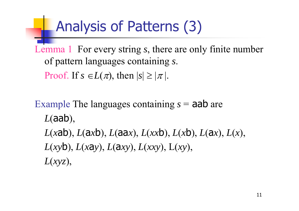### Analysis of Patterns (3)

Lemma 1 For every string *<sup>s</sup>*, there are only finite number of pattern languages containing *s*.

Proof. If  $s \in L(\pi)$ , then  $|s| \geq |\pi|$ .

Example The languages containing *<sup>s</sup>* = aab are *L* (aab), *L*(*x*ab), *L*(*axb*), *L*(*xxb*), *L*(*xb*), *L*(*ax*), *L*(*x*), *L* (*xy* b), *L* (*x* a *y*), *L* ( <sup>a</sup>*xy*), *L* (*xxy*), L(*xy*), *L* (*xyz*),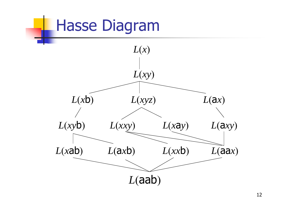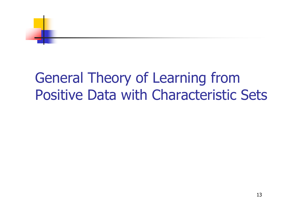

#### General Theory of Learning from Positive Data with Characteristic Sets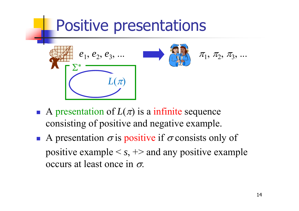

- A presentation of  $L(\pi)$  is a infinite sequence consisting of positive and negative example.
- A presentation  $\sigma$  is positive if  $\sigma$  consists only of positive example <sup>&</sup>lt; *<sup>s</sup>*, +> and any positive example occurs at least once in  $\sigma$ .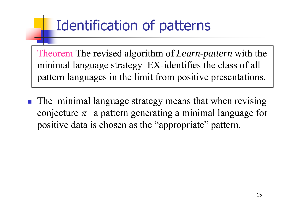## Identification of patterns

Theorem The revised algorithm of *Learn-pattern* with the minimal language strategy EX-identifies the class of all pattern languages in the limit from positive presentations.

**The minimal language strategy means that when revising** conjecture  $\pi$  a pattern generating a minimal language for positive data is chosen as the "appropriate" pattern.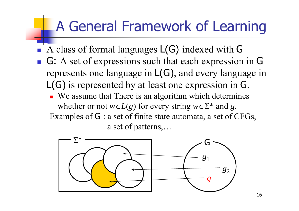#### A General Framework of Learning

- Ħ ■ A class of formal languages L(G) indexed with G
- G: A set of expressions such that each expression in G represents one language in L(G), and every language in L(G) is represented by at least one expression in G.
	- We assume that There is an algorithm which determines whether or not  $w \in L(g)$  for every string  $w \in \Sigma^*$  and g. Examples of G : a set of finite state automata, a set of CFGs, a set of patterns,…

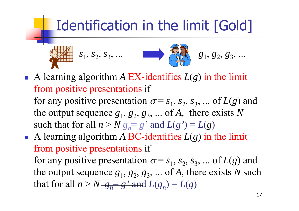### Identification in the limit [Gold]

$$
S_1, S_2, S_3, \ldots
$$
  $S_1, S_2, S_3, \ldots$   $S_1, S_2, S_3, \ldots$ 

A learning algorithm  $\overline{A}$  EX-identifies  $L(g)$  in the limit from positive presentations if for any positive presentation  $\sigma = s_1, s_2, s_3, ...$  of  $L(g)$  and

the output sequence  $g_1, g_2, g_3, ...$  of A, there exists N such that for all  $n > N g_n = g'$  and  $L(g') = L(g)$ 

A learning algorithm A BC-identifies  $L(g)$  in the limit from positive presentations if for any positive presentation  $\sigma = s_1$ ,  $s_2$ ,  $s_3$ , ... of  $L(g)$  and the output sequence  $g_1, g_2, g_3, ...$  of *A*, there exists *N* such that for all  $n > N - g_n = g'$  and  $L(g_n) = L(g)$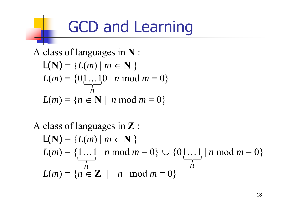# GCD and Learning

A class of languages in **N** :

$$
L(N) = \{L(m) | m \in N \}
$$
  
\n
$$
L(m) = \{0 \dots 10 | n \mod m = 0 \}
$$
  
\n
$$
L(m) = \{n \in N | n \mod m = 0 \}
$$

A class of languages in **Z** :

$$
L(N) = \{L(m) | m \in N \}
$$
  
\n
$$
L(m) = \{1...1 | n \mod m = 0\} \cup \{01...1 | n \mod m = 0\}
$$
  
\n
$$
L(m) = \{n \in \mathbb{Z} | n \mod m = 0\}
$$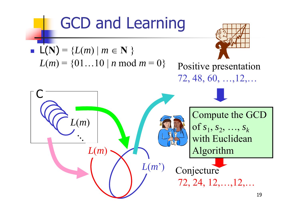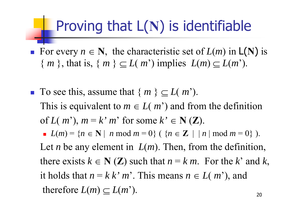#### Proving that L( **N**) is identifiable

- For every  $n \in \mathbb{N}$ , the characteristic set of  $L(m)$  in  $L(N)$  is  $\{m\}$ , that is,  $\{m\} \subseteq L(m')$  implies  $L(m) \subseteq L(m')$ .
- **To see this, assume that**  $\{m\} \subseteq L(m')$ . This is equivalent to  $m \in L(m^2)$  and from the definition of  $L(m^2)$ ,  $m = k^2 m^2$  for some  $k^2 \in N(\mathbb{Z})$ . *L*(*m*) = { $n \in \mathbb{N}$  | *n* mod  $m = 0$ } ( { $n \in \mathbb{Z}$  | | *n* | mod  $m = 0$ } ). Let *n* be any element in  $L(m)$ . Then, from the definition,
	- there exists  $k \in \mathbb{N}(\mathbb{Z})$  such that  $n = k \, m$ . For the k' and k, it holds that  $n = k k' m'$ . This means  $n \in L(m')$ , and therefore  $L(m) \subseteq L(m)$ *m*').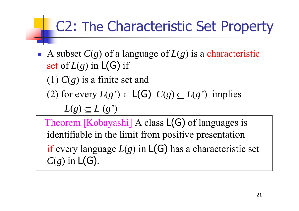### C2: The Characteristic Set Property

A subset  $C(g)$  of a language of  $L(g)$  is a characteristic set of  $L(g)$  in  $L(G)$  if (1) *C*(*g*) is a finite set and

(2) for every  $L(g') \in L(G)$   $C(g) \subseteq L(g')$  implies

 $L(g) \subset L(g')$ 

Theorem [Kobayashi] A class  $L(G)$  of languages is identifiable in the limit from positive presentation if every language  $L(g)$  in  $L(G)$  has a characteristic set  $C(g)$  in  $L(G)$ .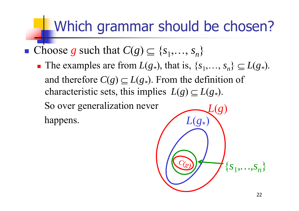### Which grammar should be chosen?

- Choose *g* such that  $C(g) \subseteq \{s_1, \ldots, s_n\}$ 
	- **n** The examples are from  $L(g_*)$ , that is,  $\{s_1, \ldots, s_n\} \subseteq L(g_*)$ . and therefore  $C(g) \subseteq L(g_*)$ . From the definition of characteristic sets, this implies  $L(g) \subseteq L(g_*)$ . So over generalization never

happens.

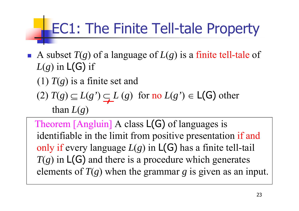# EC1: The Finite Tell-tale Property

F A subset  $T(g)$  of a language of  $L(g)$  is a finite tell-tale of  $L(g)$  in  $L(G)$  if

(1) *T*( *g*) is a finite set and

 $(2) T(g) \subseteq L(g') \subseteq L(g)$  for no  $L(g') \in L(G)$  other than *L* ( *g* )

Theorem [Angluin] A class  $L(G)$  of languages is identifiable in the limit from positive presentation if and only if every language  $L(g)$  in  $L(G)$  has a finite tell-tail *T*( *<sup>g</sup>*) in L(G) and there is a procedure which generates elements of *T*( *g*) when the grammar *g* is given as an input.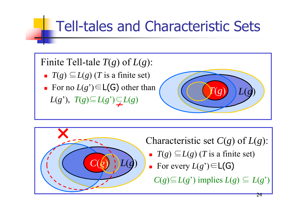### Tell-tales and Characteristic Sets

#### Finite Tell-tale *T*( *g*) of *L* ( *g*):

- $\blacksquare$  *T*(*g*)  $\subseteq L(g)$  (*T* is a finite set)
- For no  $L(g') \in L(G)$  other than  $L(g')$ ,  $T(g) \subseteq L(g') \subseteq L(g)$





Characteristic set  $C(g)$  of  $L(g)$ :

- $\blacksquare$  *T*(*g*)  $\subseteq L(g)$  (*T* is a finite set)
- For every  $L(g') \in L(G)$ 
	- $C(g) \subseteq L(g^{\prime})$  implies  $L(g) \subseteq L(g^{\prime})$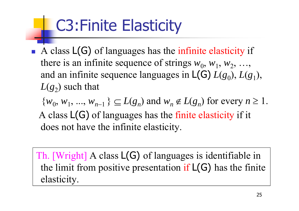# C3:Finite Elasticity

A class  $L(G)$  of languages has the infinite elasticity if there is an infinite sequence of strings  $w_0$ ,  $w_1$ ,  $w_2$ , ..., and an infinite sequence languages in  $L(G) L(g_0), L(g_1),$  $L(\varepsilon_2)$  such that

 $\{w_0, w_1, ..., w_{n-1}\}\subseteq L(g_n)$  and  $w_n \notin L(g_n)$  for every  $n \ge 1$ . A class L(G) of languages has the finite elasticity if it does not have the infinite elasticity.

Th. [Wright] <sup>A</sup> class L(G) of languages is identifiable in the limit from positive presentation if  $L(G)$  has the finite elasticity.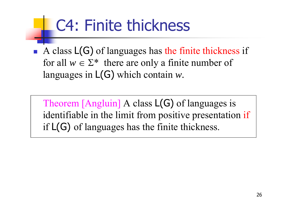# C4: Finite thickness

A class  $L(G)$  of languages has the finite thickness if for all  $w \in \Sigma^*$  there are only a finite number of languages in L(G) which contain *w.*

Theorem [Angluin] A class  $L(G)$  of languages is identifiable in the limit from positive presentation if if L(G) of languages has the finite thickness.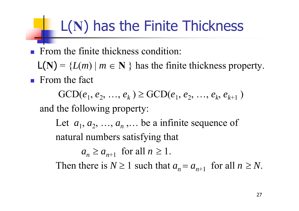# L(**N**) has the Finite Thickness

**Firm the finite thickness condition:** 

 $L(N) = {L(m) | m \in N}$  has the finite thickness property. **From the fact** 

 $GCD(e_1, e_2, ..., e_k) \geq GCD(e_1, e_2, ..., e_k, e_{k+1})$ and the following property:

Let  $a_1, a_2, ..., a_n, ...$  be a infinite sequence of natural numbers satisfying that

 $a_n \ge a_{n+1}$  for all  $n \ge 1$ .

Then there is  $N \ge 1$  such that  $a_n = a_{n+1}$  for all  $n \ge N$ .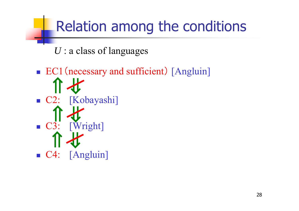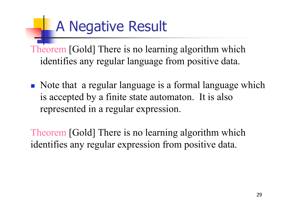# A Negative Result

Theorem [Gold] There is no learning algorithm which identifies any regular language from positive data.

• Note that a regular language is a formal language which is accepted by a finite state automaton. It is also represented in a regular expression.

Theorem [Gold] There is no learning algorithm which identifies any regular expression from positive data.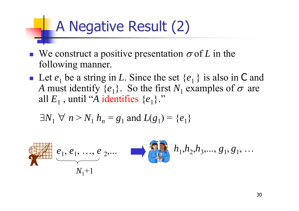## A Negative Result (2)

- **We construct a positive presentation**  $\sigma$  **of L in the** following manner.
- **Let**  $e_1$  **be a string in L. Since the set**  $\{e_1\}$  **is also in C and** *A* must identify  $\{e_1\}$ . So the first  $N_1$  examples of  $\sigma$  are all  $E_1$  , until "A identifies  $\{e_1\}$ ."

$$
\exists N_1 \forall n > N_1 h_n = g_1 \text{ and } L(g_1) = \{e_1\}
$$

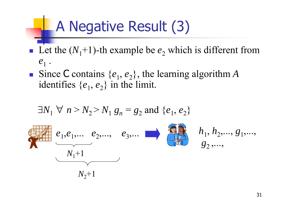## A Negative Result (3)

- **Let the**  $(N_1+1)$ **-th example be**  $e_2$  which is different from  $e_{\scriptscriptstyle 1}^{}$  .
- Since C contains  $\{e_1, e_2\}$ , the learning algorithm *A* identifies  $\{e_1, e_2\}$  in the limit.

$$
\exists N_1 \forall n > N_2 > N_1 g_n = g_2 \text{ and } \{e_1, e_2\}
$$
\n
$$
e_1, e_1, \dots, e_2, \dots, e_3, \dots \qquad \qquad h_1, h_2, \dots, g_1, \dots, g_n
$$
\n
$$
N_1 + 1
$$
\n
$$
N_2 + 1
$$